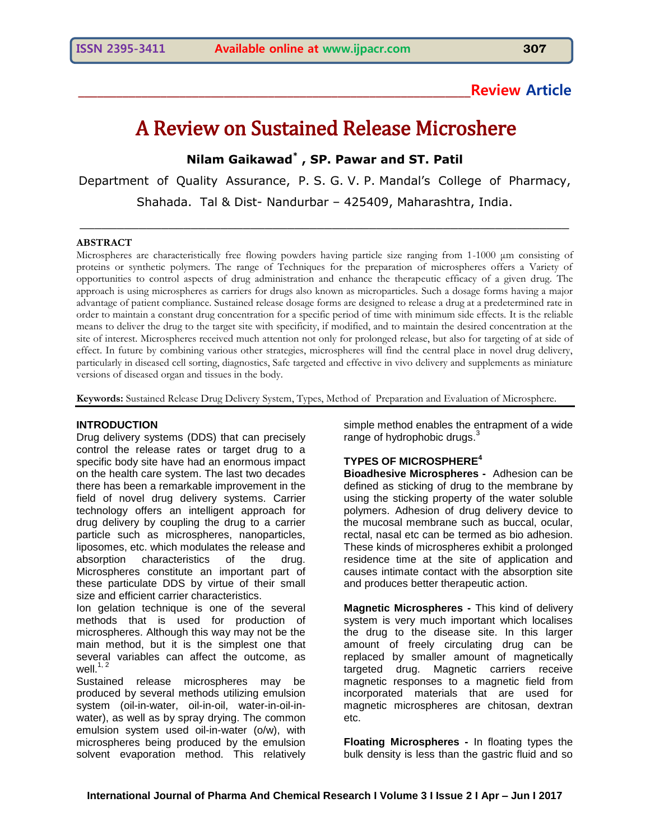# **\_\_\_\_\_\_\_\_\_\_\_\_\_\_\_\_\_\_\_\_\_\_\_\_\_\_\_\_\_\_\_\_\_\_\_\_\_\_\_\_\_\_\_\_\_\_\_\_\_\_\_\_\_\_\_\_\_\_\_\_\_\_Review Article**

# A Review on Sustained Release Microshere

**Nilam Gaikawad\* , SP. Pawar and ST. Patil**

Department of Quality Assurance, P. S. G. V. P. Mandal's College of Pharmacy, Shahada. Tal & Dist- Nandurbar – 425409, Maharashtra, India.

\_\_\_\_\_\_\_\_\_\_\_\_\_\_\_\_\_\_\_\_\_\_\_\_\_\_\_\_\_\_\_\_\_\_\_\_\_\_\_\_\_\_\_\_\_\_\_\_\_\_\_\_\_\_\_\_\_\_\_\_\_\_\_\_\_\_

#### **ABSTRACT**

Microspheres are characteristically free flowing powders having particle size ranging from 1-1000 μm consisting of proteins or synthetic polymers. The range of Techniques for the preparation of microspheres offers a Variety of opportunities to control aspects of drug administration and enhance the therapeutic efficacy of a given drug. The approach is using microspheres as carriers for drugs also known as microparticles. Such a dosage forms having a major advantage of patient compliance. Sustained release dosage forms are designed to release a drug at a predetermined rate in order to maintain a constant drug concentration for a specific period of time with minimum side effects. It is the reliable means to deliver the drug to the target site with specificity, if modified, and to maintain the desired concentration at the site of interest. Microspheres received much attention not only for prolonged release, but also for targeting of at side of effect. In future by combining various other strategies, microspheres will find the central place in novel drug delivery, particularly in diseased cell sorting, diagnostics, Safe targeted and effective in vivo delivery and supplements as miniature versions of diseased organ and tissues in the body.

**Keywords:** Sustained Release Drug Delivery System, Types, Method of Preparation and Evaluation of Microsphere.

#### **INTRODUCTION**

Drug delivery systems (DDS) that can precisely control the release rates or target drug to a specific body site have had an enormous impact on the health care system. The last two decades there has been a remarkable improvement in the field of novel drug delivery systems. Carrier technology offers an intelligent approach for drug delivery by coupling the drug to a carrier particle such as microspheres, nanoparticles, liposomes, etc. which modulates the release and absorption characteristics of the drug. Microspheres constitute an important part of these particulate DDS by virtue of their small size and efficient carrier characteristics.

Ion gelation technique is one of the several methods that is used for production of microspheres. Although this way may not be the main method, but it is the simplest one that several variables can affect the outcome, as well. $1, 2$ 

Sustained release microspheres may be produced by several methods utilizing emulsion system (oil-in-water, oil-in-oil, water-in-oil-inwater), as well as by spray drying. The common emulsion system used oil-in-water (o/w), with microspheres being produced by the emulsion solvent evaporation method. This relatively simple method enables the entrapment of a wide range of hydrophobic drugs. $3$ 

#### **TYPES OF MICROSPHERE<sup>4</sup>**

**Bioadhesive Microspheres -** Adhesion can be defined as sticking of drug to the membrane by using the sticking property of the water soluble polymers. Adhesion of drug delivery device to the mucosal membrane such as buccal, ocular, rectal, nasal etc can be termed as bio adhesion. These kinds of microspheres exhibit a prolonged residence time at the site of application and causes intimate contact with the absorption site and produces better therapeutic action.

**Magnetic Microspheres -** This kind of delivery system is very much important which localises the drug to the disease site. In this larger amount of freely circulating drug can be replaced by smaller amount of magnetically targeted drug. Magnetic carriers receive magnetic responses to a magnetic field from incorporated materials that are used for magnetic microspheres are chitosan, dextran etc.

**Floating Microspheres -** In floating types the bulk density is less than the gastric fluid and so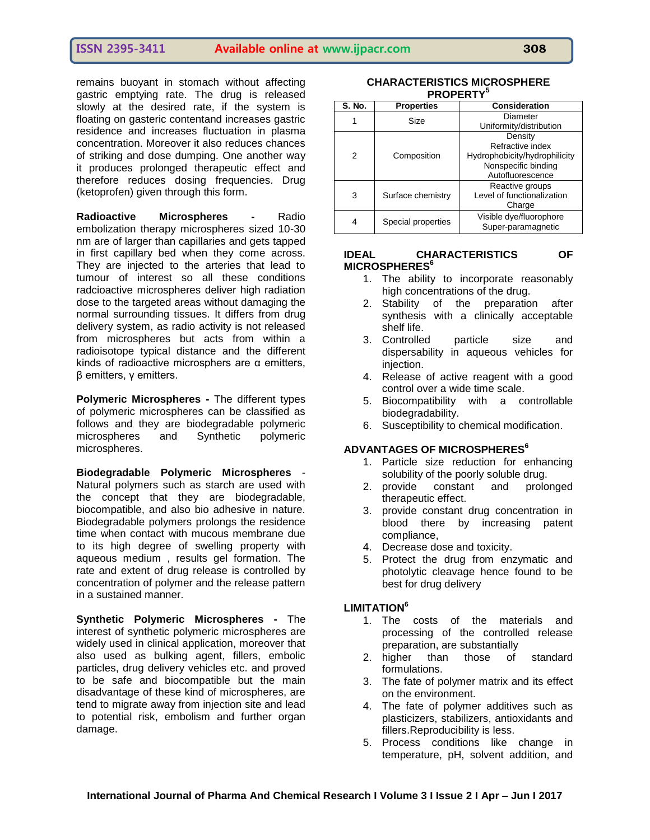remains buoyant in stomach without affecting gastric emptying rate. The drug is released slowly at the desired rate, if the system is floating on gasteric contentand increases gastric residence and increases fluctuation in plasma concentration. Moreover it also reduces chances of striking and dose dumping. One another way it produces prolonged therapeutic effect and therefore reduces dosing frequencies. Drug (ketoprofen) given through this form.

**Radioactive Microspheres -** Radio embolization therapy microspheres sized 10-30 nm are of larger than capillaries and gets tapped in first capillary bed when they come across. They are injected to the arteries that lead to tumour of interest so all these conditions radcioactive microspheres deliver high radiation dose to the targeted areas without damaging the normal surrounding tissues. It differs from drug delivery system, as radio activity is not released from microspheres but acts from within a radioisotope typical distance and the different kinds of radioactive microsphers are α emitters, β emitters, γ emitters.

**Polymeric Microspheres -** The different types of polymeric microspheres can be classified as follows and they are biodegradable polymeric microspheres and Synthetic polymeric microspheres.

**Biodegradable Polymeric Microspheres** - Natural polymers such as starch are used with the concept that they are biodegradable, biocompatible, and also bio adhesive in nature. Biodegradable polymers prolongs the residence time when contact with mucous membrane due to its high degree of swelling property with aqueous medium , results gel formation. The rate and extent of drug release is controlled by concentration of polymer and the release pattern in a sustained manner.

**Synthetic Polymeric Microspheres -** The interest of synthetic polymeric microspheres are widely used in clinical application, moreover that also used as bulking agent, fillers, embolic particles, drug delivery vehicles etc. and proved to be safe and biocompatible but the main disadvantage of these kind of microspheres, are tend to migrate away from injection site and lead to potential risk, embolism and further organ damage.

#### **CHARACTERISTICS MICROSPHERE PROPERTY<sup>5</sup>**

| <b>S. No.</b> | <b>Properties</b>  | <b>Consideration</b>          |
|---------------|--------------------|-------------------------------|
|               | Size               | Diameter                      |
|               |                    | Uniformity/distribution       |
| 2             | Composition        | Density                       |
|               |                    | Refractive index              |
|               |                    | Hydrophobicity/hydrophilicity |
|               |                    | Nonspecific binding           |
|               |                    | Autofluorescence              |
| 3             | Surface chemistry  | Reactive groups               |
|               |                    | Level of functionalization    |
|               |                    | Charge                        |
| 4             | Special properties | Visible dye/fluorophore       |
|               |                    | Super-paramagnetic            |

#### **IDEAL CHARACTERISTICS OF MICROSPHERES<sup>6</sup>**

- 1. The ability to incorporate reasonably high concentrations of the drug.
- 2. Stability of the preparation after synthesis with a clinically acceptable shelf life.
- 3. Controlled particle size and dispersability in aqueous vehicles for injection.
- 4. Release of active reagent with a good control over a wide time scale.
- 5. Biocompatibility with a controllable biodegradability.
- 6. Susceptibility to chemical modification.

#### **ADVANTAGES OF MICROSPHERES<sup>6</sup>**

- 1. Particle size reduction for enhancing solubility of the poorly soluble drug.<br>2. provide constant and prolo
- constant and prolonged therapeutic effect.
- 3. provide constant drug concentration in blood there by increasing patent compliance,
- 4. Decrease dose and toxicity.
- 5. Protect the drug from enzymatic and photolytic cleavage hence found to be best for drug delivery

#### **LIMITATION<sup>6</sup>**

- 1. The costs of the materials and processing of the controlled release preparation, are substantially
- 2. higher than those of standard formulations.
- 3. The fate of polymer matrix and its effect on the environment.
- 4. The fate of polymer additives such as plasticizers, stabilizers, antioxidants and fillers.Reproducibility is less.
- 5. Process conditions like change in temperature, pH, solvent addition, and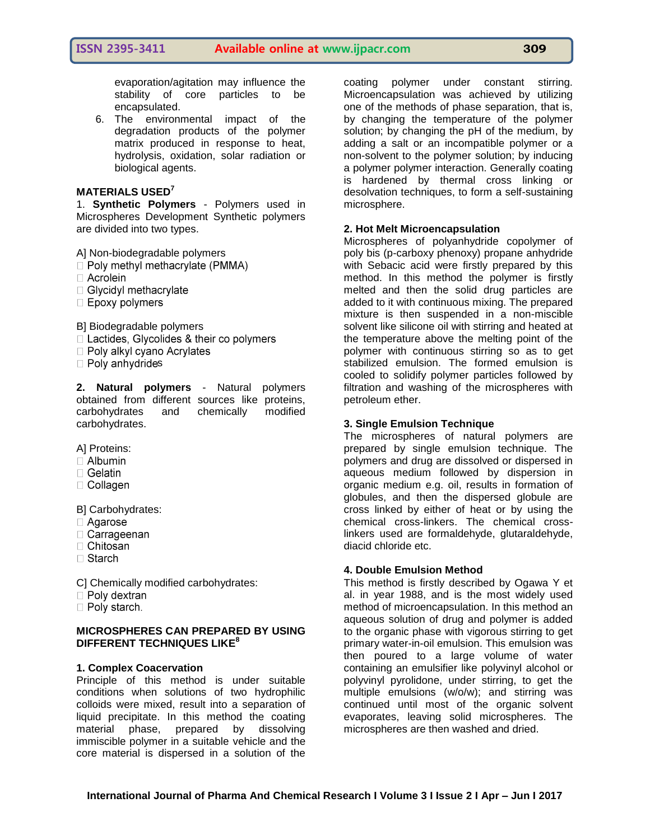## **ISSN 2395-3411 Available online at www.ijpacr.com 309**

evaporation/agitation may influence the stability of core particles to be encapsulated.

6. The environmental impact of the degradation products of the polymer matrix produced in response to heat, hydrolysis, oxidation, solar radiation or biological agents.

#### **MATERIALS USED<sup>7</sup>**

1. **Synthetic Polymers** - Polymers used in Microspheres Development Synthetic polymers are divided into two types.

A] Non-biodegradable polymers

- $\Box$  Poly methyl methacrylate (PMMA)
- $\Box$  Acrolein
- $\Box$  Glycidyl methacrylate
- $\square$  Epoxy polymers

B] Biodegradable polymers

- $\Box$  Lactides, Glycolides & their co polymers
- $\Box$  Poly alkyl cyano Acrylates
- $\Box$  Poly anhydrides

**2. Natural polymers** - Natural polymers obtained from different sources like proteins, carbohydrates and chemically modified carbohydrates.

A] Proteins:

- $\Box$  Albumin
- $\Box$  Gelatin
- $\Box$  Collagen

B] Carbohydrates:

- □ Agarose
- $\Box$  Carrageenan
- $\Box$  Chitosan
- $\Box$  Starch

C] Chemically modified carbohydrates:

- $\Box$  Poly dextran
- $\Box$  Poly starch.

#### **MICROSPHERES CAN PREPARED BY USING DIFFERENT TECHNIQUES LIKE<sup>8</sup>**

#### **1. Complex Coacervation**

Principle of this method is under suitable conditions when solutions of two hydrophilic colloids were mixed, result into a separation of liquid precipitate. In this method the coating material phase, prepared by dissolving immiscible polymer in a suitable vehicle and the core material is dispersed in a solution of the

coating polymer under constant stirring. Microencapsulation was achieved by utilizing one of the methods of phase separation, that is, by changing the temperature of the polymer solution; by changing the pH of the medium, by adding a salt or an incompatible polymer or a non-solvent to the polymer solution; by inducing a polymer polymer interaction. Generally coating is hardened by thermal cross linking or desolvation techniques, to form a self-sustaining microsphere.

#### **2. Hot Melt Microencapsulation**

Microspheres of polyanhydride copolymer of poly bis (p-carboxy phenoxy) propane anhydride with Sebacic acid were firstly prepared by this method. In this method the polymer is firstly melted and then the solid drug particles are added to it with continuous mixing. The prepared mixture is then suspended in a non-miscible solvent like silicone oil with stirring and heated at the temperature above the melting point of the polymer with continuous stirring so as to get stabilized emulsion. The formed emulsion is cooled to solidify polymer particles followed by filtration and washing of the microspheres with petroleum ether.

#### **3. Single Emulsion Technique**

The microspheres of natural polymers are prepared by single emulsion technique. The polymers and drug are dissolved or dispersed in aqueous medium followed by dispersion in organic medium e.g. oil, results in formation of globules, and then the dispersed globule are cross linked by either of heat or by using the chemical cross-linkers. The chemical crosslinkers used are formaldehyde, glutaraldehyde, diacid chloride etc.

#### **4. Double Emulsion Method**

This method is firstly described by Ogawa Y et al. in year 1988, and is the most widely used method of microencapsulation. In this method an aqueous solution of drug and polymer is added to the organic phase with vigorous stirring to get primary water-in-oil emulsion. This emulsion was then poured to a large volume of water containing an emulsifier like polyvinyl alcohol or polyvinyl pyrolidone, under stirring, to get the multiple emulsions (w/o/w); and stirring was continued until most of the organic solvent evaporates, leaving solid microspheres. The microspheres are then washed and dried.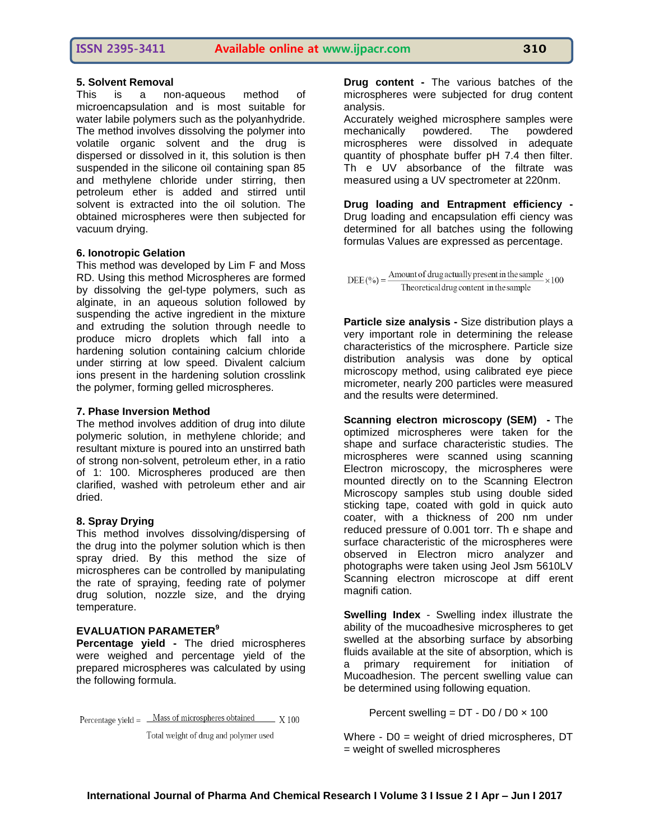#### **5. Solvent Removal**

This is a non-aqueous method of microencapsulation and is most suitable for water labile polymers such as the polyanhydride. The method involves dissolving the polymer into volatile organic solvent and the drug is dispersed or dissolved in it, this solution is then suspended in the silicone oil containing span 85 and methylene chloride under stirring, then petroleum ether is added and stirred until solvent is extracted into the oil solution. The obtained microspheres were then subjected for vacuum drying.

#### **6. Ionotropic Gelation**

This method was developed by Lim F and Moss RD. Using this method Microspheres are formed by dissolving the gel-type polymers, such as alginate, in an aqueous solution followed by suspending the active ingredient in the mixture and extruding the solution through needle to produce micro droplets which fall into a hardening solution containing calcium chloride under stirring at low speed. Divalent calcium ions present in the hardening solution crosslink the polymer, forming gelled microspheres.

#### **7. Phase Inversion Method**

The method involves addition of drug into dilute polymeric solution, in methylene chloride; and resultant mixture is poured into an unstirred bath of strong non-solvent, petroleum ether, in a ratio of 1: 100. Microspheres produced are then clarified, washed with petroleum ether and air dried.

#### **8. Spray Drying**

This method involves dissolving/dispersing of the drug into the polymer solution which is then spray dried. By this method the size of microspheres can be controlled by manipulating the rate of spraying, feeding rate of polymer drug solution, nozzle size, and the drying temperature.

#### **EVALUATION PARAMETER<sup>9</sup>**

**Percentage yield -** The dried microspheres were weighed and percentage yield of the prepared microspheres was calculated by using the following formula.

Percentage yield =  $\frac{\text{Mass of microspheres obtained}}{X100}$ 

Total weight of drug and polymer used

**Drug content -** The various batches of the microspheres were subjected for drug content analysis.

Accurately weighed microsphere samples were mechanically powdered. The powdered microspheres were dissolved in adequate quantity of phosphate buffer pH 7.4 then filter. Th e UV absorbance of the filtrate was measured using a UV spectrometer at 220nm.

**Drug loading and Entrapment efficiency -** Drug loading and encapsulation effi ciency was determined for all batches using the following formulas Values are expressed as percentage.

DEE (%) =  $\frac{\text{Amount of drug actually present in the sample}}{100} \times 100$ Theoretical drug content in the sample

**Particle size analysis -** Size distribution plays a very important role in determining the release characteristics of the microsphere. Particle size distribution analysis was done by optical microscopy method, using calibrated eye piece micrometer, nearly 200 particles were measured and the results were determined.

**Scanning electron microscopy (SEM) -** The optimized microspheres were taken for the shape and surface characteristic studies. The microspheres were scanned using scanning Electron microscopy, the microspheres were mounted directly on to the Scanning Electron Microscopy samples stub using double sided sticking tape, coated with gold in quick auto coater, with a thickness of 200 nm under reduced pressure of 0.001 torr. Th e shape and surface characteristic of the microspheres were observed in Electron micro analyzer and photographs were taken using Jeol Jsm 5610LV Scanning electron microscope at diff erent magnifi cation.

**Swelling Index** - Swelling index illustrate the ability of the mucoadhesive microspheres to get swelled at the absorbing surface by absorbing fluids available at the site of absorption, which is a primary requirement for initiation of Mucoadhesion. The percent swelling value can be determined using following equation.

Percent swelling =  $DT - DO / DO \times 100$ 

Where - D0 = weight of dried microspheres, DT = weight of swelled microspheres